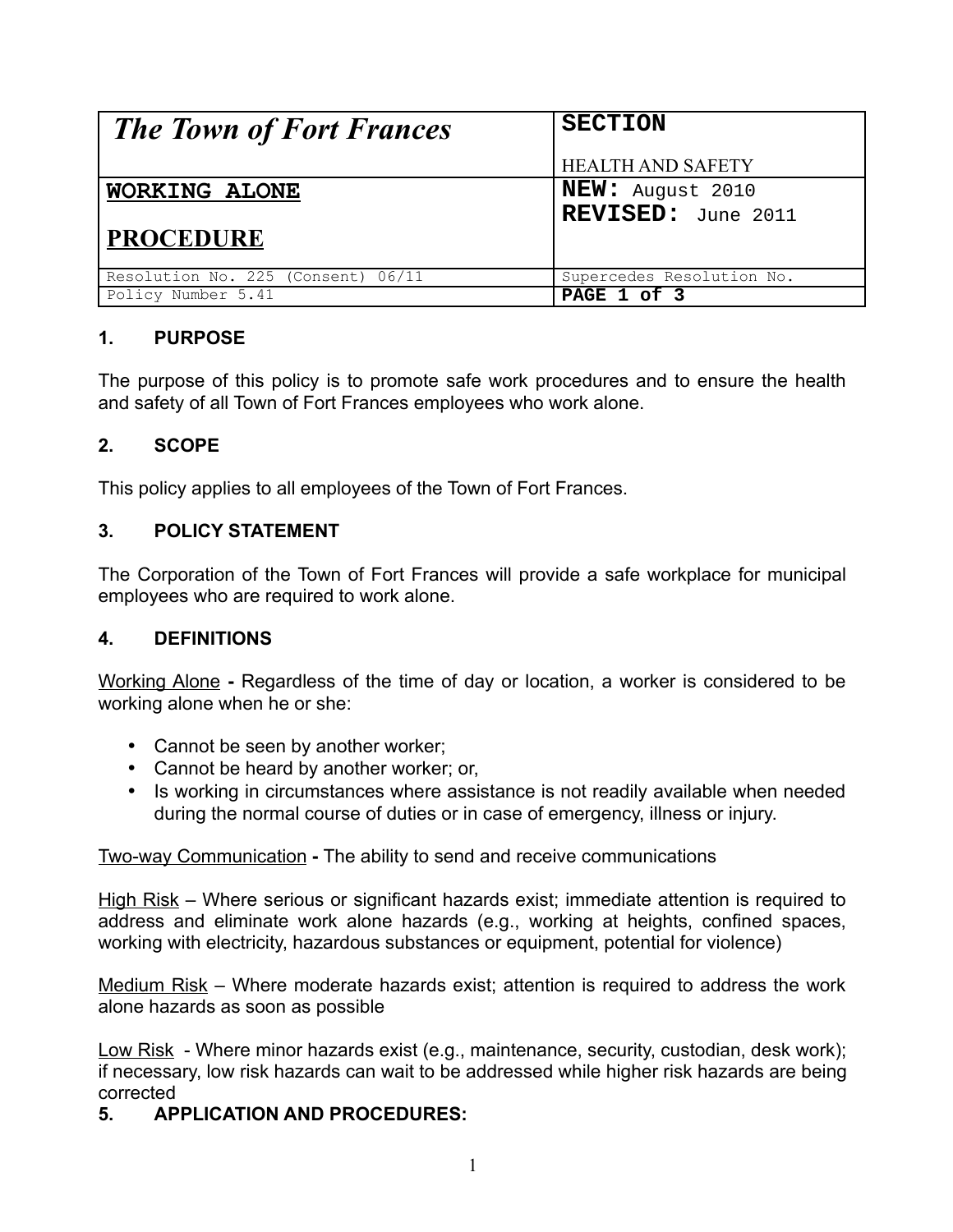| <b>The Town of Fort Frances</b>    | <b>SECTION</b>            |
|------------------------------------|---------------------------|
|                                    | <b>HEALTH AND SAFETY</b>  |
| WORKING ALONE                      | <b>NEW:</b> August 2010   |
|                                    | REVISED: June 2011        |
| <b>PROCEDURE</b>                   |                           |
| Resolution No. 225 (Consent) 06/11 | Supercedes Resolution No. |
| Policy Number 5.41                 | PAGE 1 of 3               |

## **1. PURPOSE**

The purpose of this policy is to promote safe work procedures and to ensure the health and safety of all Town of Fort Frances employees who work alone.

# **2. SCOPE**

This policy applies to all employees of the Town of Fort Frances.

### **3. POLICY STATEMENT**

The Corporation of the Town of Fort Frances will provide a safe workplace for municipal employees who are required to work alone.

#### **4. DEFINITIONS**

Working Alone **-** Regardless of the time of day or location, a worker is considered to be working alone when he or she:

- Cannot be seen by another worker:
- Cannot be heard by another worker; or,
- Is working in circumstances where assistance is not readily available when needed during the normal course of duties or in case of emergency, illness or injury.

#### Two-way Communication **-** The ability to send and receive communications

High Risk – Where serious or significant hazards exist; immediate attention is required to address and eliminate work alone hazards (e.g., working at heights, confined spaces, working with electricity, hazardous substances or equipment, potential for violence)

Medium Risk – Where moderate hazards exist; attention is required to address the work alone hazards as soon as possible

Low Risk - Where minor hazards exist (e.g., maintenance, security, custodian, desk work); if necessary, low risk hazards can wait to be addressed while higher risk hazards are being corrected

## **5. APPLICATION AND PROCEDURES:**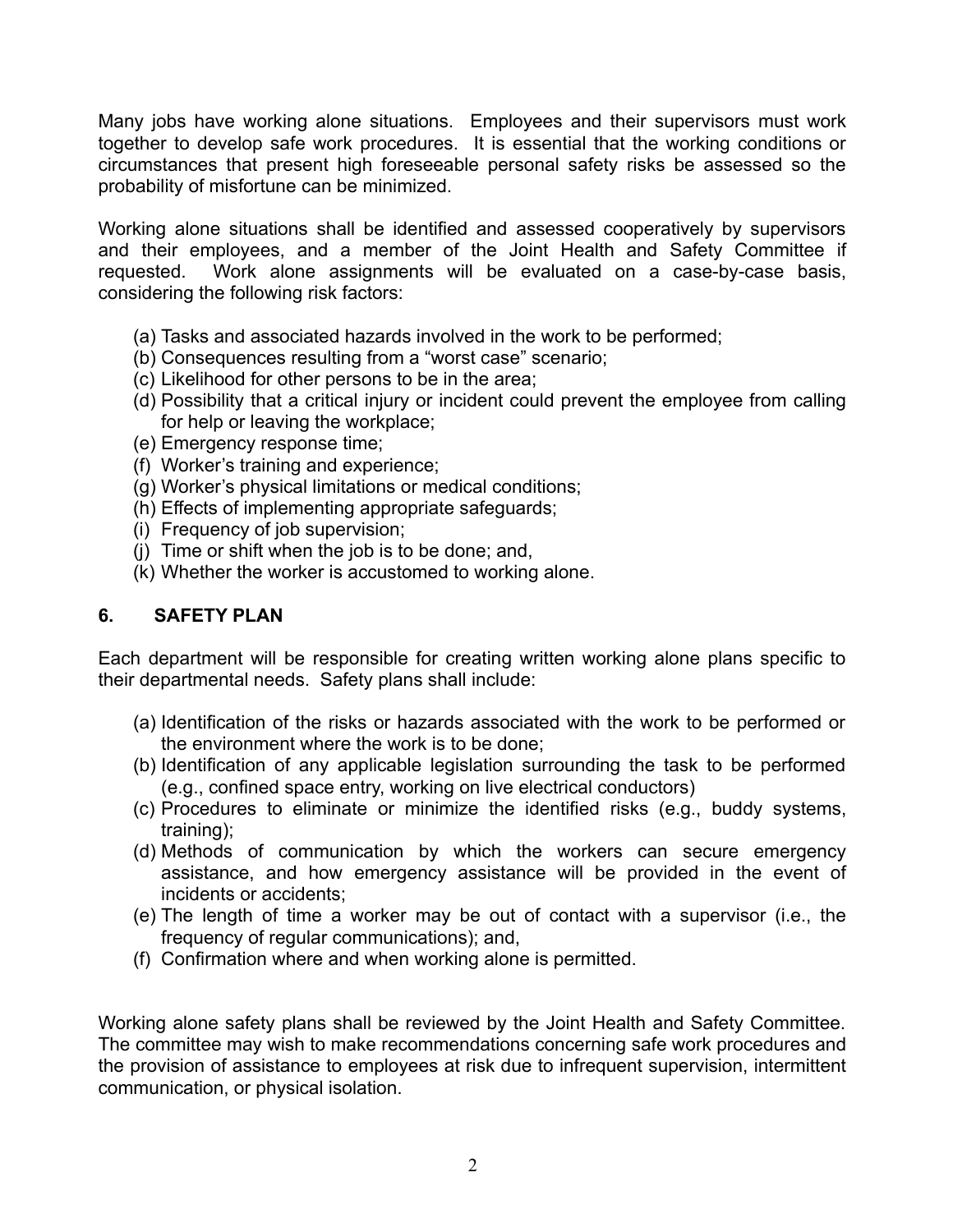Many jobs have working alone situations. Employees and their supervisors must work together to develop safe work procedures. It is essential that the working conditions or circumstances that present high foreseeable personal safety risks be assessed so the probability of misfortune can be minimized.

Working alone situations shall be identified and assessed cooperatively by supervisors and their employees, and a member of the Joint Health and Safety Committee if requested. Work alone assignments will be evaluated on a case-by-case basis, considering the following risk factors:

- (a) Tasks and associated hazards involved in the work to be performed;
- (b) Consequences resulting from a "worst case" scenario;
- (c) Likelihood for other persons to be in the area;
- (d) Possibility that a critical injury or incident could prevent the employee from calling for help or leaving the workplace;
- (e) Emergency response time;
- (f) Worker's training and experience;
- (g) Worker's physical limitations or medical conditions;
- (h) Effects of implementing appropriate safeguards;
- (i) Frequency of job supervision;
- (j) Time or shift when the job is to be done; and,
- (k) Whether the worker is accustomed to working alone.

#### **6. SAFETY PLAN**

Each department will be responsible for creating written working alone plans specific to their departmental needs. Safety plans shall include:

- (a) Identification of the risks or hazards associated with the work to be performed or the environment where the work is to be done;
- (b) Identification of any applicable legislation surrounding the task to be performed (e.g., confined space entry, working on live electrical conductors)
- (c) Procedures to eliminate or minimize the identified risks (e.g., buddy systems, training);
- (d) Methods of communication by which the workers can secure emergency assistance, and how emergency assistance will be provided in the event of incidents or accidents;
- (e) The length of time a worker may be out of contact with a supervisor (i.e., the frequency of regular communications); and,
- (f) Confirmation where and when working alone is permitted.

Working alone safety plans shall be reviewed by the Joint Health and Safety Committee. The committee may wish to make recommendations concerning safe work procedures and the provision of assistance to employees at risk due to infrequent supervision, intermittent communication, or physical isolation.